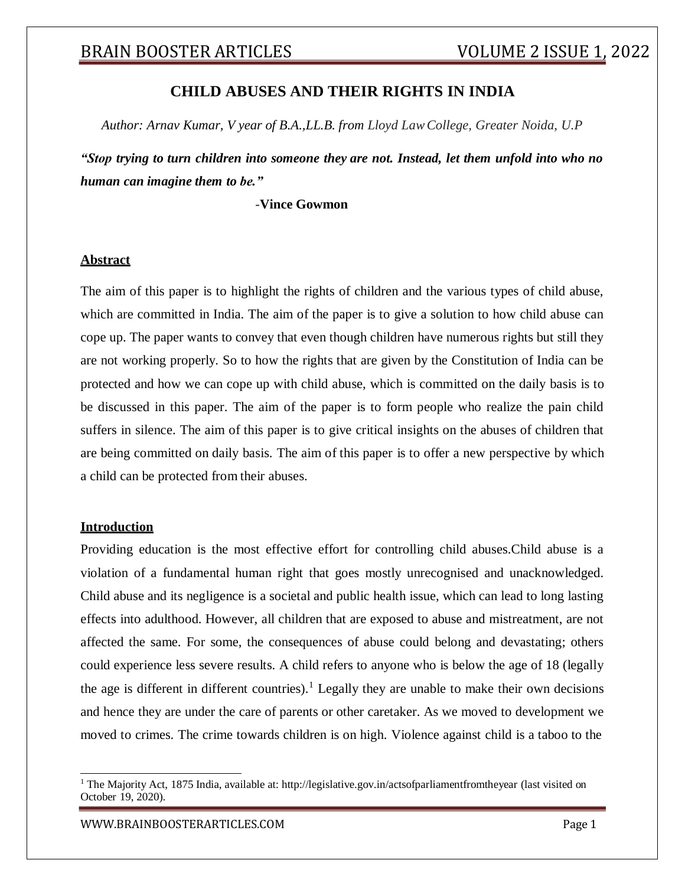## **CHILD ABUSES AND THEIR RIGHTS IN INDIA**

*Author: Arnav Kumar, V year of B.A.,LL.B. from Lloyd LawCollege, Greater Noida, U.P*

*"Stop trying to turn children into someone they are not. Instead, let them unfold into who no human can imagine them to be."*

**-Vince Gowmon**

#### **Abstract**

The aim of this paper is to highlight the rights of children and the various types of child abuse, which are committed in India. The aim of the paper is to give a solution to how child abuse can cope up. The paper wants to convey that even though children have numerous rights but still they are not working properly. So to how the rights that are given by the Constitution of India can be protected and how we can cope up with child abuse, which is committed on the daily basis is to be discussed in this paper. The aim of the paper is to form people who realize the pain child suffers in silence. The aim of this paper is to give critical insights on the abuses of children that are being committed on daily basis. The aim of this paper is to offer a new perspective by which a child can be protected from their abuses.

### **Introduction**

Providing education is the most effective effort for controlling child abuses.Child abuse is a violation of a fundamental human right that goes mostly unrecognised and unacknowledged. Child abuse and its negligence is a societal and public health issue, which can lead to long lasting effects into adulthood. However, all children that are exposed to abuse and mistreatment, are not affected the same. For some, the consequences of abuse could belong and devastating; others could experience less severe results. A child refers to anyone who is below the age of 18 (legally the age is different in different countries).<sup>1</sup> Legally they are unable to make their own decisions and hence they are under the care of parents or other caretaker. As we moved to development we moved to crimes. The crime towards children is on high. Violence against child is a taboo to the

<sup>&</sup>lt;sup>1</sup> The Majority Act, 1875 India, available at: [http://legislative.gov.in/actsofparliamentfromtheyear \(](http://legislative.gov.in/actsofparliamentfromtheyear)last visited on October 19, 2020).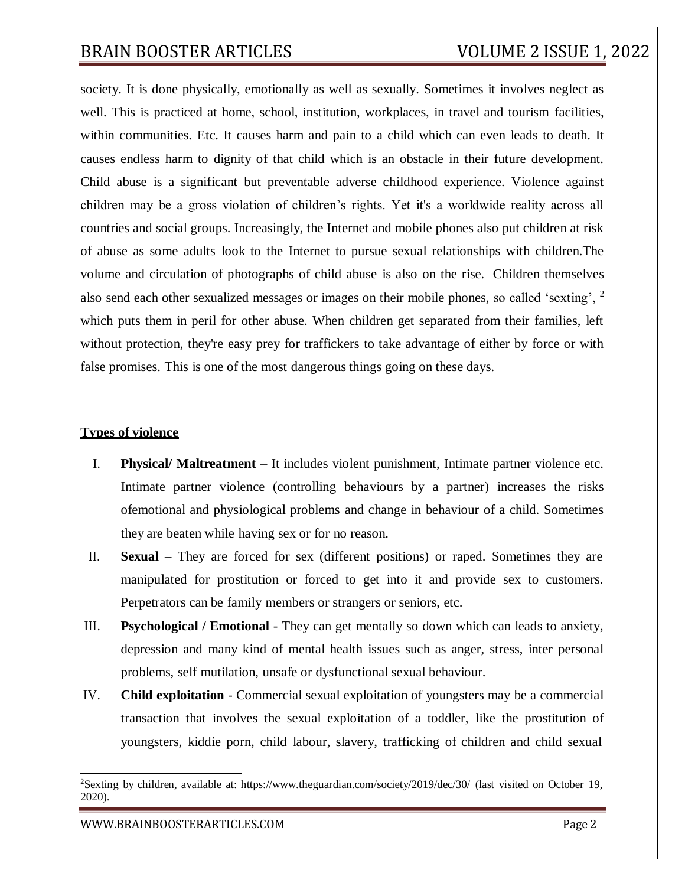society. It is done physically, emotionally as well as sexually. Sometimes it involves neglect as well. This is practiced at home, school, institution, workplaces, in travel and tourism facilities, within communities. Etc. It causes harm and pain to a child which can even leads to death. It causes endless harm to dignity of that child which is an obstacle in their future development. Child abuse is a significant but preventable adverse childhood experience. Violence against children may be a gross violation of children's rights. Yet it's a worldwide reality across all countries and social groups. Increasingly, the Internet and mobile phones also put children at risk of abuse as some adults look to the Internet to pursue sexual relationships with children.The volume and circulation of photographs of child abuse is also on the rise. Children themselves also send each other sexualized messages or images on their mobile phones, so called 'sexting', <sup>2</sup> which puts them in peril for other abuse. When children get separated from their families, left without protection, they're easy prey for traffickers to take advantage of either by force or with false promises. This is one of the most dangerous things going on these days.

#### **Types of violence**

- I. **Physical/ Maltreatment**  It includes violent punishment, Intimate partner violence etc. Intimate partner violence (controlling behaviours by a partner) increases the risks ofemotional and physiological problems and change in behaviour of a child. Sometimes they are beaten while having sex or for no reason.
- II. **Sexual**  They are forced for sex (different positions) or raped. Sometimes they are manipulated for prostitution or forced to get into it and provide sex to customers. Perpetrators can be family members or strangers or seniors, etc.
- III. **Psychological / Emotional**  They can get mentally so down which can leads to anxiety, depression and many kind of mental health issues such as anger, stress, inter personal problems, self mutilation, unsafe or dysfunctional sexual behaviour.
- IV. **Child exploitation**  Commercial sexual exploitation of youngsters may be a commercial transaction that involves the sexual exploitation of a toddler, like the prostitution of youngsters, kiddie porn, child labour, slavery, trafficking of children and child sexual

<sup>2</sup>Sexting by children, available at: https:/[/www.theguardian.com/society/2019/dec/30/](http://www.theguardian.com/society/2019/dec/30/) (last visited on October 19, 2020).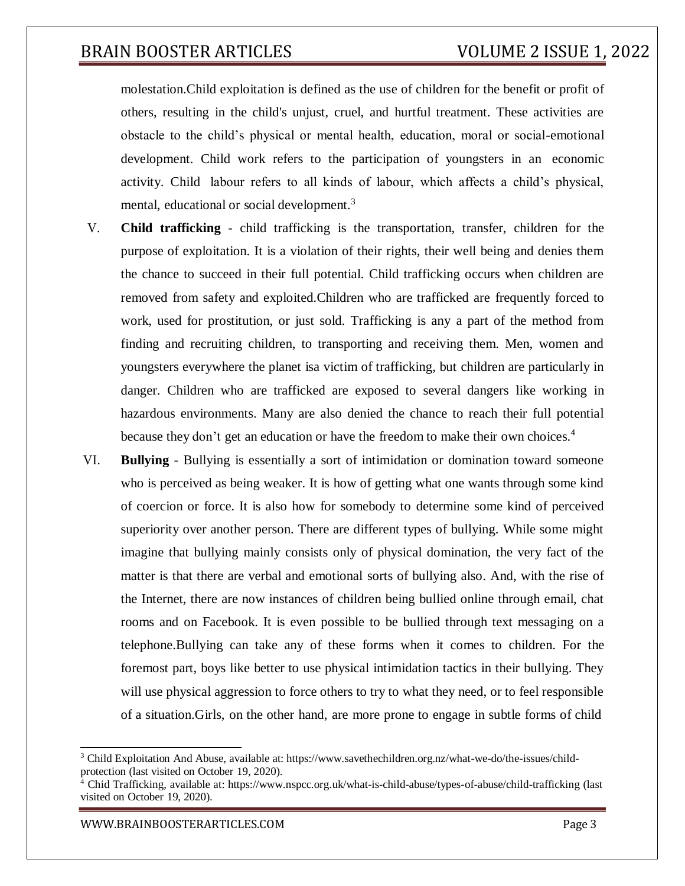molestation.Child exploitation is defined as the use of children for the benefit or profit of others, resulting in the child's unjust, cruel, and hurtful treatment. These activities are obstacle to the child's physical or mental health, education, moral or social-emotional development. Child work refers to the participation of youngsters in an economic activity. Child labour refers to all kinds of labour, which affects a child's physical, mental, educational or social development.<sup>3</sup>

- V. **Child trafficking** child trafficking is the transportation, transfer, children for the purpose of exploitation. It is a violation of their rights, their well being and denies them the chance to succeed in their full potential. Child trafficking occurs when children are removed from safety and exploited.Children who are trafficked are frequently forced to work, used for prostitution, or just sold. Trafficking is any a part of the method from finding and recruiting children, to transporting and receiving them. Men, women and youngsters everywhere the planet isa victim of trafficking, but children are particularly in danger. Children who are trafficked are exposed to several dangers like working in hazardous environments. Many are also denied the chance to reach their full potential because they don't get an education or have the freedom to make their own choices.<sup>4</sup>
- VI. **Bullying**  Bullying is essentially a sort of intimidation or domination toward someone who is perceived as being weaker. It is how of getting what one wants through some kind of coercion or force. It is also how for somebody to determine some kind of perceived superiority over another person. There are different types of bullying. While some might imagine that bullying mainly consists only of physical domination, the very fact of the matter is that there are verbal and emotional sorts of bullying also. And, with the rise of the Internet, there are now instances of children being bullied online through email, chat rooms and on Facebook. It is even possible to be bullied through text messaging on a telephone.Bullying can take any of these forms when it comes to children. For the foremost part, boys like better to use physical intimidation tactics in their bullying. They will use physical aggression to force others to try to what they need, or to feel responsible of a situation.Girls, on the other hand, are more prone to engage in subtle forms of child

<sup>3</sup> Child Exploitation And Abuse, available at: https:/[/www.savethechildren.org.nz/what-we-do/the-issues/child](http://www.savethechildren.org.nz/what-we-do/the-issues/child-)protection (last visited on October 19, 2020).

<sup>&</sup>lt;sup>4</sup> Chid Trafficking, available at: https:/[/www.nspcc.org.uk/what-is-child-abuse/types-of-abuse/child-trafficking](http://www.nspcc.org.uk/what-is-child-abuse/types-of-abuse/child-trafficking) (last visited on October 19, 2020).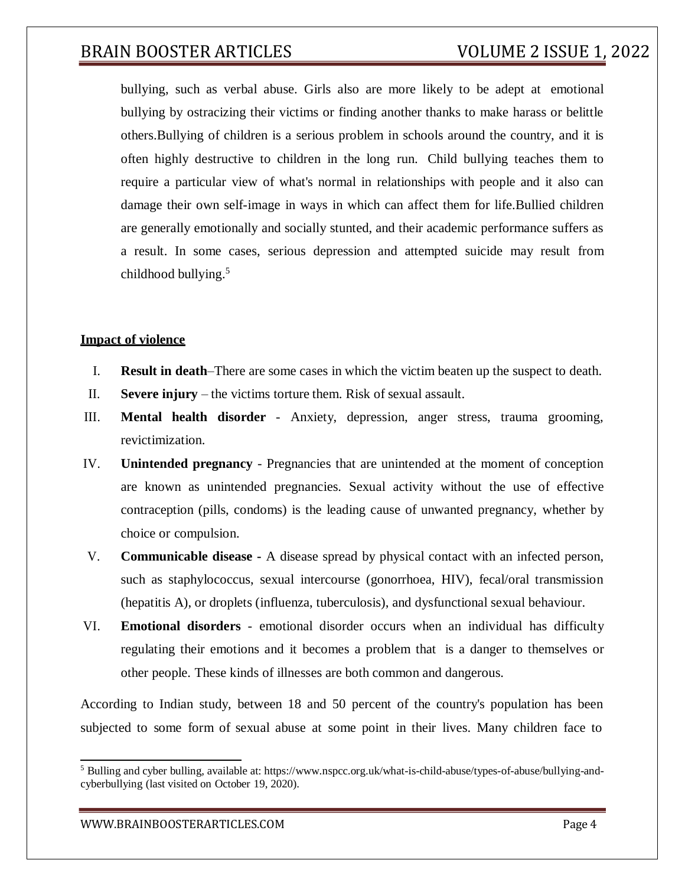bullying, such as verbal abuse. Girls also are more likely to be adept at emotional bullying by ostracizing their victims or finding another thanks to make harass or belittle others.Bullying of children is a serious problem in schools around the country, and it is often highly destructive to children in the long run. Child bullying teaches them to require a particular view of what's normal in relationships with people and it also can damage their own self-image in ways in which can affect them for life.Bullied children are generally emotionally and socially stunted, and their academic performance suffers as a result. In some cases, serious depression and attempted suicide may result from childhood bullying. $5$ 

#### **Impact of violence**

- I. **Result in death**–There are some cases in which the victim beaten up the suspect to death.
- II. **Severe injury** the victims torture them. Risk of sexual assault.
- III. **Mental health disorder** Anxiety, depression, anger stress, trauma grooming, revictimization.
- IV. **Unintended pregnancy**  Pregnancies that are unintended at the moment of conception are known as unintended pregnancies. Sexual activity without the use of effective contraception (pills, condoms) is the leading cause of unwanted pregnancy, whether by choice or compulsion.
- V. **Communicable disease -** A disease spread by physical contact with an infected person, such as staphylococcus, sexual intercourse (gonorrhoea, HIV), fecal/oral transmission (hepatitis A), or droplets (influenza, tuberculosis), and dysfunctional sexual behaviour.
- VI. **Emotional disorders** emotional disorder occurs when an individual has difficulty regulating their emotions and it becomes a problem that is a danger to themselves or other people. These kinds of illnesses are both common and dangerous.

According to Indian study, between 18 and 50 percent of the country's population has been subjected to some form of sexual abuse at some point in their lives. Many children face to

<sup>5</sup> Bulling and cyber bulling, available at: https:/[/www.nspcc.org.uk/what-is-child-abuse/types-of-abuse/bullying-and](http://www.nspcc.org.uk/what-is-child-abuse/types-of-abuse/bullying-and-)cyberbullying (last visited on October 19, 2020).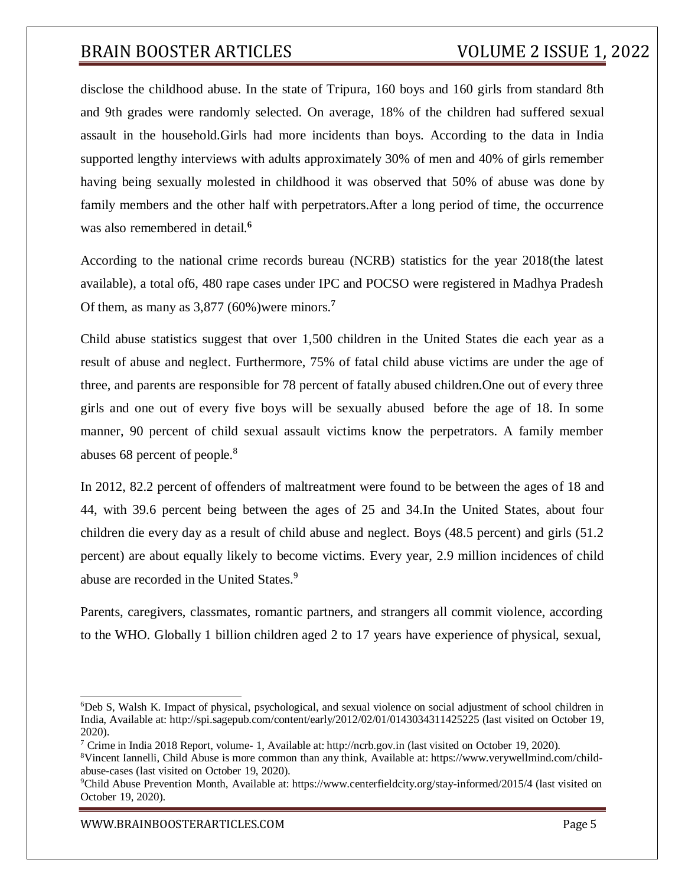disclose the childhood abuse. In the state of Tripura, 160 boys and 160 girls from standard 8th and 9th grades were randomly selected. On average, 18% of the children had suffered sexual assault in the household.Girls had more incidents than boys. According to the data in India supported lengthy interviews with adults approximately 30% of men and 40% of girls remember having being sexually molested in childhood it was observed that 50% of abuse was done by family members and the other half with perpetrators.After a long period of time, the occurrence was also remembered in detail.**<sup>6</sup>**

According to the national crime records bureau (NCRB) statistics for the year 2018(the latest available), a total of6, 480 rape cases under IPC and POCSO were registered in Madhya Pradesh Of them, as many as 3,877 (60%)were minors.**<sup>7</sup>**

Child abuse statistics suggest that over 1,500 children in the United States die each year as a result of abuse and neglect. Furthermore, 75% of fatal child abuse victims are under the age of three, and parents are responsible for 78 percent of fatally abused children.One out of every three girls and one out of every five boys will be sexually abused before the age of 18. In some manner, 90 percent of child sexual assault victims know the perpetrators. A family member abuses 68 percent of people.<sup>8</sup>

In 2012, 82.2 percent of offenders of maltreatment were found to be between the ages of 18 and 44, with 39.6 percent being between the ages of 25 and 34.In the United States, about four children die every day as a result of child abuse and neglect. Boys (48.5 percent) and girls (51.2 percent) are about equally likely to become victims. Every year, 2.9 million incidences of child abuse are recorded in the United States.<sup>9</sup>

Parents, caregivers, classmates, romantic partners, and strangers all commit violence, according to the WHO. Globally 1 billion children aged 2 to 17 years have experience of physical, sexual,

<sup>6</sup>Deb S, Walsh K. Impact of physical, psychological, and sexual violence on social adjustment of school children in India, Available at: [http://spi.sagepub.com/content/early/2012/02/01/0143034311425225 \(](http://spi.sagepub.com/content/early/2012/02/01/0143034311425225)last visited on October 19, 2020).

<sup>&</sup>lt;sup>7</sup> Crime in India 2018 Report, volume- 1, Available at: [http://ncrb.gov.in \(](http://ncrb.gov.in/)last visited on October 19, 2020).

<sup>8</sup>Vincent Iannelli, Child Abuse is more common than any think, Available at: https:/[/www.verywellmind.com/child](http://www.verywellmind.com/child-)abuse-cases (last visited on October 19, 2020).

<sup>9</sup>Child Abuse Prevention Month, Available at: https:/[/www.centerfieldcity.org/stay-informed/2015/4](http://www.centerfieldcity.org/stay-informed/2015/4) (last visited on October 19, 2020).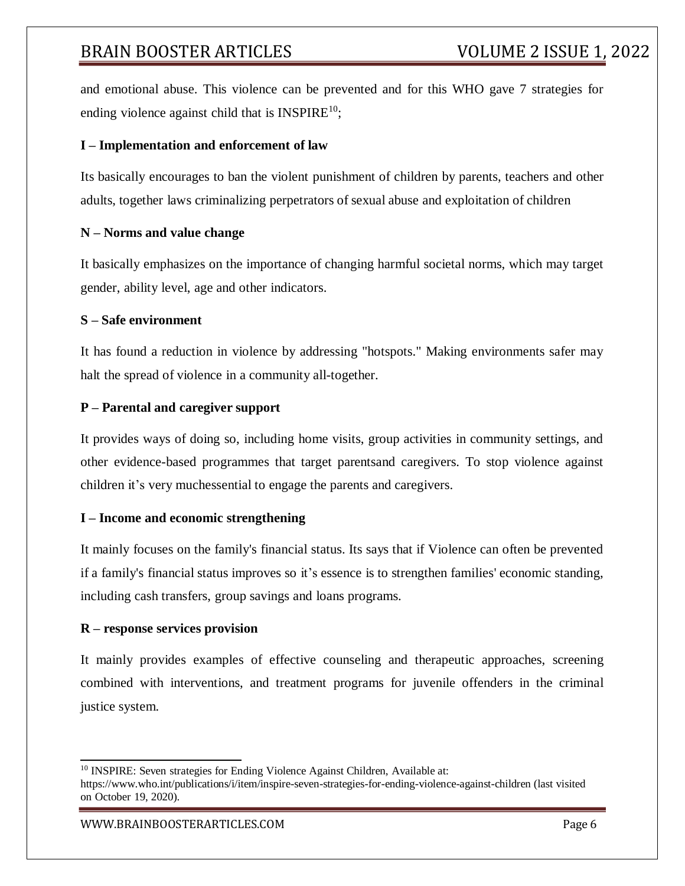and emotional abuse. This violence can be prevented and for this WHO gave 7 strategies for ending violence against child that is  $INSPIRE<sup>10</sup>$ ;

### **I – Implementation and enforcement of law**

Its basically encourages to ban the violent punishment of children by parents, teachers and other adults, together laws criminalizing perpetrators of sexual abuse and exploitation of children

### **N – Norms and value change**

It basically emphasizes on the importance of changing harmful societal norms, which may target gender, ability level, age and other indicators.

### **S – Safe environment**

It has found a reduction in violence by addressing "hotspots." Making environments safer may halt the spread of violence in a community all-together.

### **P – Parental and caregiver support**

It provides ways of doing so, including home visits, group activities in community settings, and other evidence-based programmes that target parentsand caregivers. To stop violence against children it's very muchessential to engage the parents and caregivers.

### **I – Income and economic strengthening**

It mainly focuses on the family's financial status. Its says that if Violence can often be prevented if a family's financial status improves so it's essence is to strengthen families' economic standing, including cash transfers, group savings and loans programs.

### **R – response services provision**

It mainly provides examples of effective counseling and therapeutic approaches, screening combined with interventions, and treatment programs for juvenile offenders in the criminal justice system.

<sup>&</sup>lt;sup>10</sup> INSPIRE: Seven strategies for Ending Violence Against Children, Available at:

https:/[/www.who.int/publications/i/item/inspire-seven-strategies-for-ending-violence-against-children](http://www.who.int/publications/i/item/inspire-seven-strategies-for-ending-violence-against-children) (last visited on October 19, 2020).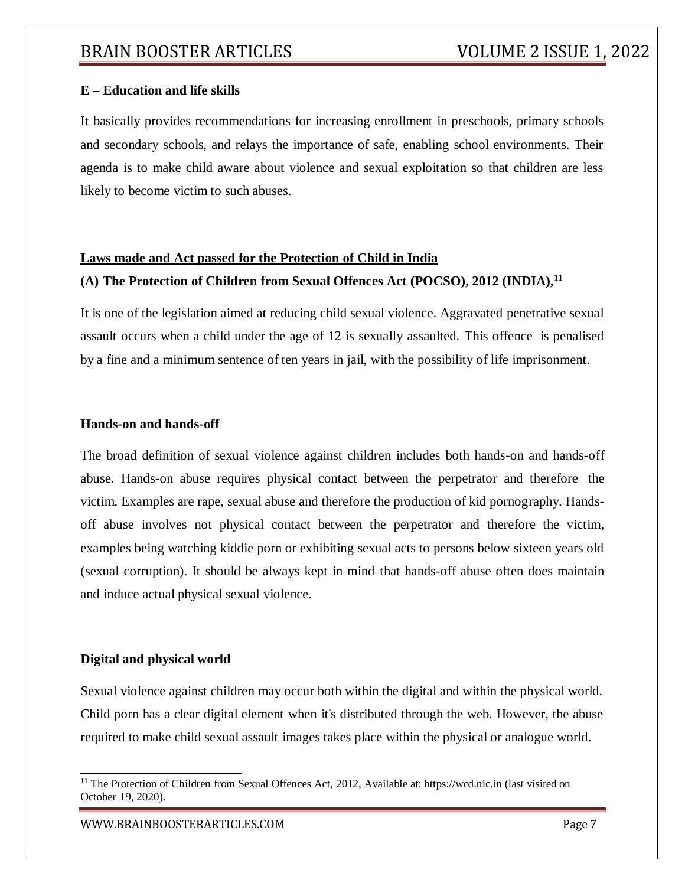### **E – Education and life skills**

It basically provides recommendations for increasing enrollment in preschools, primary schools and secondary schools, and relays the importance of safe, enabling school environments. Their agenda is to make child aware about violence and sexual exploitation so that children are less likely to become victim to such abuses.

#### **Laws made and Act passed for the Protection of Child in India**

#### **(A) The Protection of Children from Sexual Offences Act (POCSO), 2012 (INDIA),<sup>11</sup>**

It is one of the legislation aimed at reducing child sexual violence. Aggravated penetrative sexual assault occurs when a child under the age of 12 is sexually assaulted. This offence is penalised by a fine and a minimum sentence of ten years in jail, with the possibility of life imprisonment.

#### **Hands-on and hands-off**

The broad definition of sexual violence against children includes both hands-on and hands-off abuse. Hands-on abuse requires physical contact between the perpetrator and therefore the victim. Examples are rape, sexual abuse and therefore the production of kid pornography. Handsoff abuse involves not physical contact between the perpetrator and therefore the victim, examples being watching kiddie porn or exhibiting sexual acts to persons below sixteen years old (sexual corruption). It should be always kept in mind that hands-off abuse often does maintain and induce actual physical sexual violence.

#### **Digital and physical world**

Sexual violence against children may occur both within the digital and within the physical world. Child porn has a clear digital element when it's distributed through the web. However, the abuse required to make child sexual assault images takes place within the physical or analogue world.

<sup>&</sup>lt;sup>11</sup> The Protection of Children from Sexual Offences Act, 2012, Available at: https://wcd.nic.in (last visited on October 19, 2020).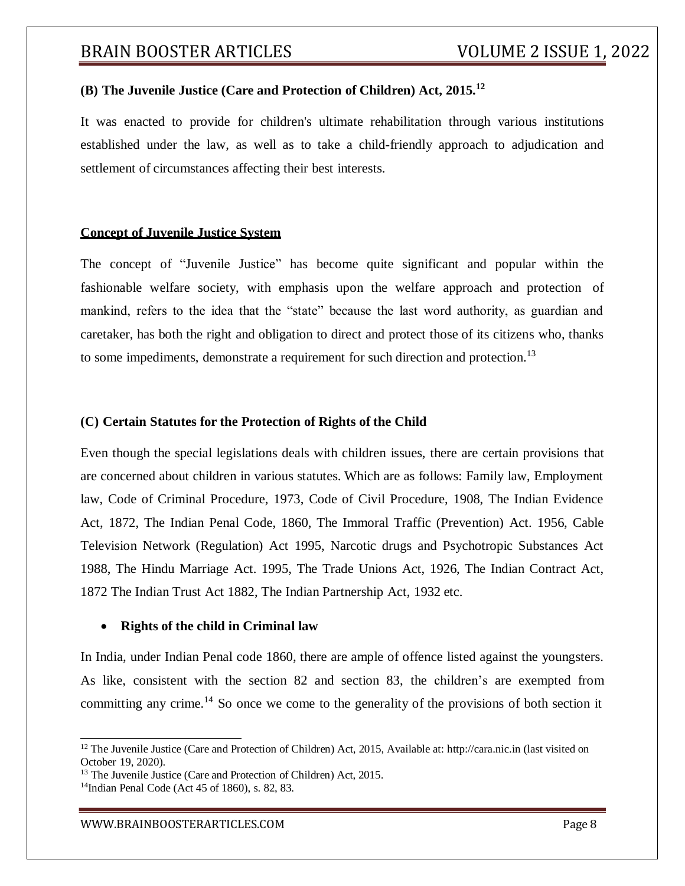## **(B) The Juvenile Justice (Care and Protection of Children) Act, 2015.<sup>12</sup>**

It was enacted to provide for children's ultimate rehabilitation through various institutions established under the law, as well as to take a child-friendly approach to adjudication and settlement of circumstances affecting their best interests.

#### **Concept of Juvenile Justice System**

The concept of "Juvenile Justice" has become quite significant and popular within the fashionable welfare society, with emphasis upon the welfare approach and protection of mankind, refers to the idea that the "state" because the last word authority, as guardian and caretaker, has both the right and obligation to direct and protect those of its citizens who, thanks to some impediments, demonstrate a requirement for such direction and protection.<sup>13</sup>

### **(C) Certain Statutes for the Protection of Rights of the Child**

Even though the special legislations deals with children issues, there are certain provisions that are concerned about children in various statutes. Which are as follows: Family law, Employment law, Code of Criminal Procedure, 1973, Code of Civil Procedure, 1908, The Indian Evidence Act, 1872, The Indian Penal Code, 1860, The Immoral Traffic (Prevention) Act. 1956, Cable Television Network (Regulation) Act 1995, Narcotic drugs and Psychotropic Substances Act 1988, The Hindu Marriage Act. 1995, The Trade Unions Act, 1926, The Indian Contract Act, 1872 The Indian Trust Act 1882, The Indian Partnership Act, 1932 etc.

#### **Rights of the child in Criminal law**

In India, under Indian Penal code 1860, there are ample of offence listed against the youngsters. As like, consistent with the section 82 and section 83, the children's are exempted from committing any crime.<sup>14</sup> So once we come to the generality of the provisions of both section it

<sup>&</sup>lt;sup>12</sup> The Juvenile Justice (Care and Protection of Children) Act, 2015, Available at: [http://cara.nic.in \(](http://cara.nic.in/)last visited on October 19, 2020).

<sup>&</sup>lt;sup>13</sup> The Juvenile Justice (Care and Protection of Children) Act, 2015.

<sup>14</sup>Indian Penal Code (Act 45 of 1860), s. 82, 83.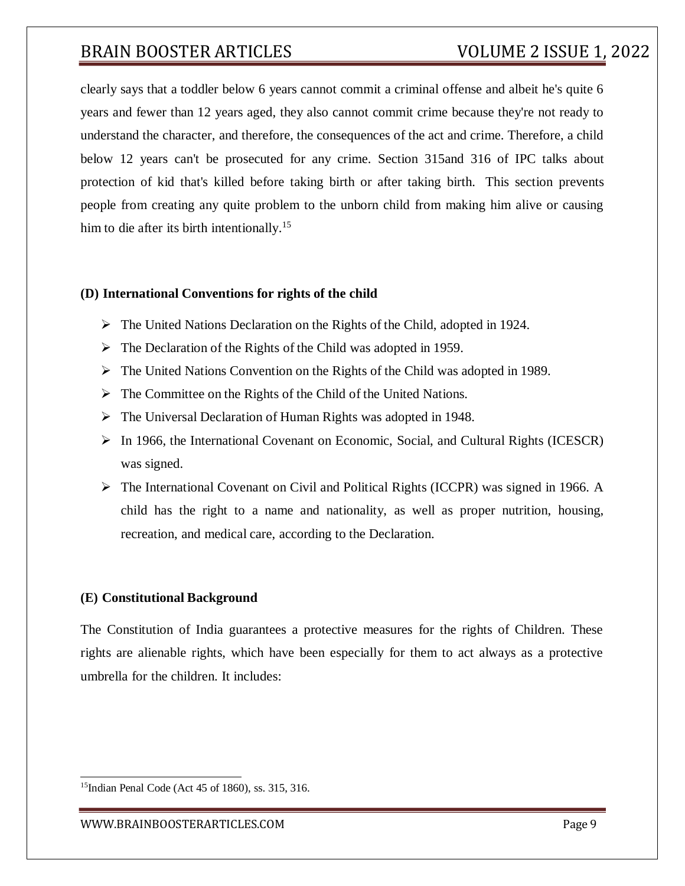clearly says that a toddler below 6 years cannot commit a criminal offense and albeit he's quite 6 years and fewer than 12 years aged, they also cannot commit crime because they're not ready to understand the character, and therefore, the consequences of the act and crime. Therefore, a child below 12 years can't be prosecuted for any crime. Section 315and 316 of IPC talks about protection of kid that's killed before taking birth or after taking birth. This section prevents people from creating any quite problem to the unborn child from making him alive or causing him to die after its birth intentionally.<sup>15</sup>

#### **(D) International Conventions for rights of the child**

- $\triangleright$  The United Nations Declaration on the Rights of the Child, adopted in 1924.
- $\triangleright$  The Declaration of the Rights of the Child was adopted in 1959.
- The United Nations Convention on the Rights of the Child was adopted in 1989.
- $\triangleright$  The Committee on the Rights of the Child of the United Nations.
- The Universal Declaration of Human Rights was adopted in 1948.
- $\triangleright$  In 1966, the International Covenant on Economic, Social, and Cultural Rights (ICESCR) was signed.
- $\triangleright$  The International Covenant on Civil and Political Rights (ICCPR) was signed in 1966. A child has the right to a name and nationality, as well as proper nutrition, housing, recreation, and medical care, according to the Declaration.

#### **(E) Constitutional Background**

The Constitution of India guarantees a protective measures for the rights of Children. These rights are alienable rights, which have been especially for them to act always as a protective umbrella for the children. It includes:

<sup>15</sup>Indian Penal Code (Act 45 of 1860), ss. 315, 316.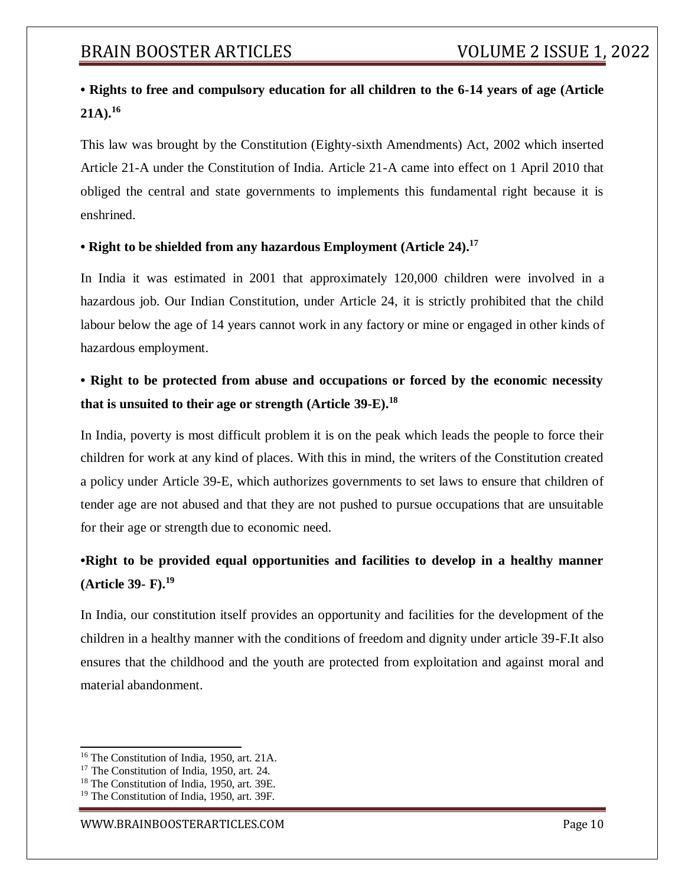## **• Rights to free and compulsory education for all children to the 6-14 years of age (Article 21A).<sup>16</sup>**

This law was brought by the Constitution (Eighty-sixth Amendments) Act, 2002 which inserted Article 21-A under the Constitution of India. Article 21-A came into effect on 1 April 2010 that obliged the central and state governments to implements this fundamental right because it is enshrined.

## **• Right to be shielded from any hazardous Employment (Article 24).<sup>17</sup>**

In India it was estimated in 2001 that approximately 120,000 children were involved in a hazardous job. Our Indian Constitution, under Article 24, it is strictly prohibited that the child labour below the age of 14 years cannot work in any factory or mine or engaged in other kinds of hazardous employment.

# **• Right to be protected from abuse and occupations or forced by the economic necessity that is unsuited to their age or strength (Article 39-E).<sup>18</sup>**

In India, poverty is most difficult problem it is on the peak which leads the people to force their children for work at any kind of places. With this in mind, the writers of the Constitution created a policy under Article 39-E, which authorizes governments to set laws to ensure that children of tender age are not abused and that they are not pushed to pursue occupations that are unsuitable for their age or strength due to economic need.

## **•Right to be provided equal opportunities and facilities to develop in a healthy manner (Article 39- F).<sup>19</sup>**

In India, our constitution itself provides an opportunity and facilities for the development of the children in a healthy manner with the conditions of freedom and dignity under article 39-F.It also ensures that the childhood and the youth are protected from exploitation and against moral and material abandonment.

<sup>16</sup> The Constitution of India, 1950, art. 21A.

<sup>&</sup>lt;sup>17</sup> The Constitution of India, 1950, art. 24.

<sup>18</sup> The Constitution of India, 1950, art. 39E.

<sup>19</sup> The Constitution of India, 1950, art. 39F.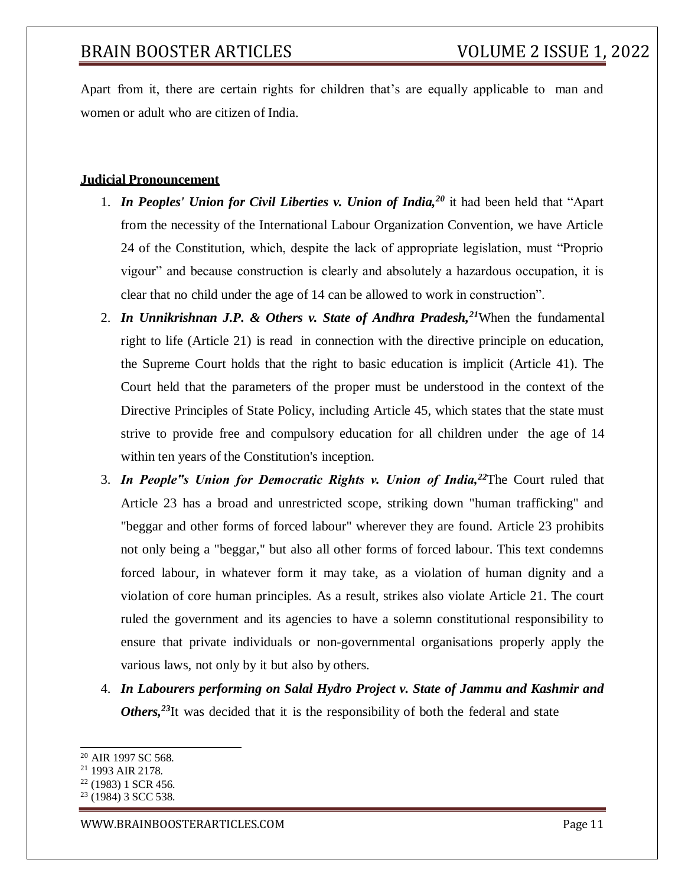Apart from it, there are certain rights for children that's are equally applicable to man and women or adult who are citizen of India.

#### **Judicial Pronouncement**

- 1. *In Peoples' Union for Civil Liberties v. Union of India,<sup>20</sup>* it had been held that "Apart from the necessity of the International Labour Organization Convention, we have Article 24 of the Constitution, which, despite the lack of appropriate legislation, must "Proprio vigour" and because construction is clearly and absolutely a hazardous occupation, it is clear that no child under the age of 14 can be allowed to work in construction".
- 2. *In Unnikrishnan J.P. & Others v. State of Andhra Pradesh,<sup>21</sup>*When the fundamental right to life (Article 21) is read in connection with the directive principle on education, the Supreme Court holds that the right to basic education is implicit (Article 41). The Court held that the parameters of the proper must be understood in the context of the Directive Principles of State Policy, including Article 45, which states that the state must strive to provide free and compulsory education for all children under the age of 14 within ten years of the Constitution's inception.
- 3. *In People"s Union for Democratic Rights v. Union of India,<sup>22</sup>*The Court ruled that Article 23 has a broad and unrestricted scope, striking down "human trafficking" and "beggar and other forms of forced labour" wherever they are found. Article 23 prohibits not only being a "beggar," but also all other forms of forced labour. This text condemns forced labour, in whatever form it may take, as a violation of human dignity and a violation of core human principles. As a result, strikes also violate Article 21. The court ruled the government and its agencies to have a solemn constitutional responsibility to ensure that private individuals or non-governmental organisations properly apply the various laws, not only by it but also by others.
- 4. *In Labourers performing on Salal Hydro Project v. State of Jammu and Kashmir and Others,<sup>23</sup>*It was decided that it is the responsibility of both the federal and state

<sup>20</sup> AIR 1997 SC 568.

<sup>21</sup> 1993 AIR 2178.

<sup>22</sup> (1983) 1 SCR 456.

 $23$  (1984) 3 SCC 538.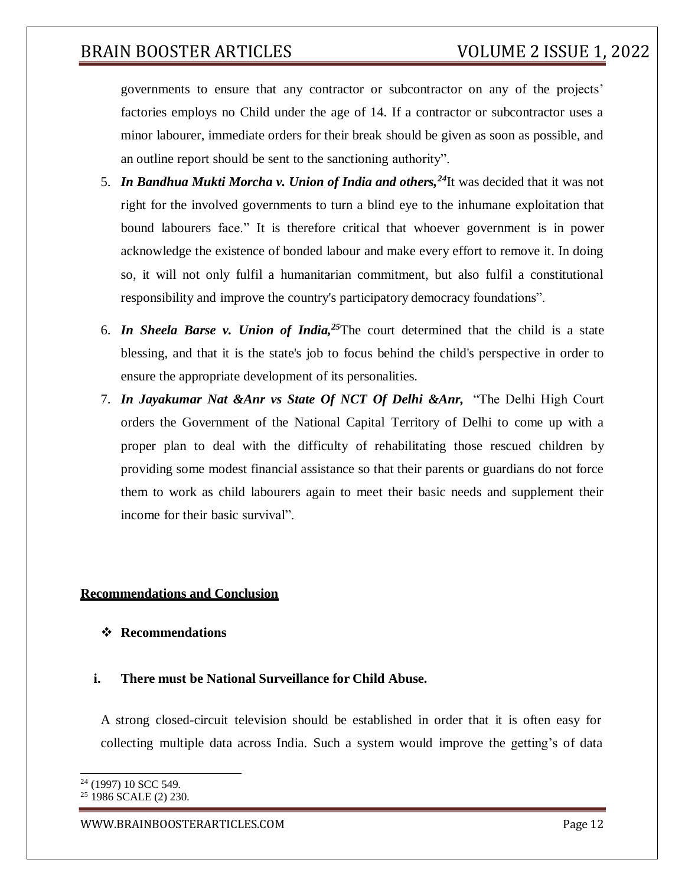governments to ensure that any contractor or subcontractor on any of the projects' factories employs no Child under the age of 14. If a contractor or subcontractor uses a minor labourer, immediate orders for their break should be given as soon as possible, and an outline report should be sent to the sanctioning authority".

- 5. *In Bandhua Mukti Morcha v. Union of India and others,<sup>24</sup>*It was decided that it was not right for the involved governments to turn a blind eye to the inhumane exploitation that bound labourers face." It is therefore critical that whoever government is in power acknowledge the existence of bonded labour and make every effort to remove it. In doing so, it will not only fulfil a humanitarian commitment, but also fulfil a constitutional responsibility and improve the country's participatory democracy foundations".
- 6. *In Sheela Barse v. Union of India,<sup>25</sup>*The court determined that the child is a state blessing, and that it is the state's job to focus behind the child's perspective in order to ensure the appropriate development of its personalities.
- 7. *In Jayakumar Nat &Anr vs State Of NCT Of Delhi &Anr,* "The Delhi High Court orders the Government of the National Capital Territory of Delhi to come up with a proper plan to deal with the difficulty of rehabilitating those rescued children by providing some modest financial assistance so that their parents or guardians do not force them to work as child labourers again to meet their basic needs and supplement their income for their basic survival".

### **Recommendations and Conclusion**

### **Recommendations**

### **i. There must be National Surveillance for Child Abuse.**

A strong closed-circuit television should be established in order that it is often easy for collecting multiple data across India. Such a system would improve the getting's of data

<sup>24</sup> (1997) 10 SCC 549.

<sup>25</sup> 1986 SCALE (2) 230.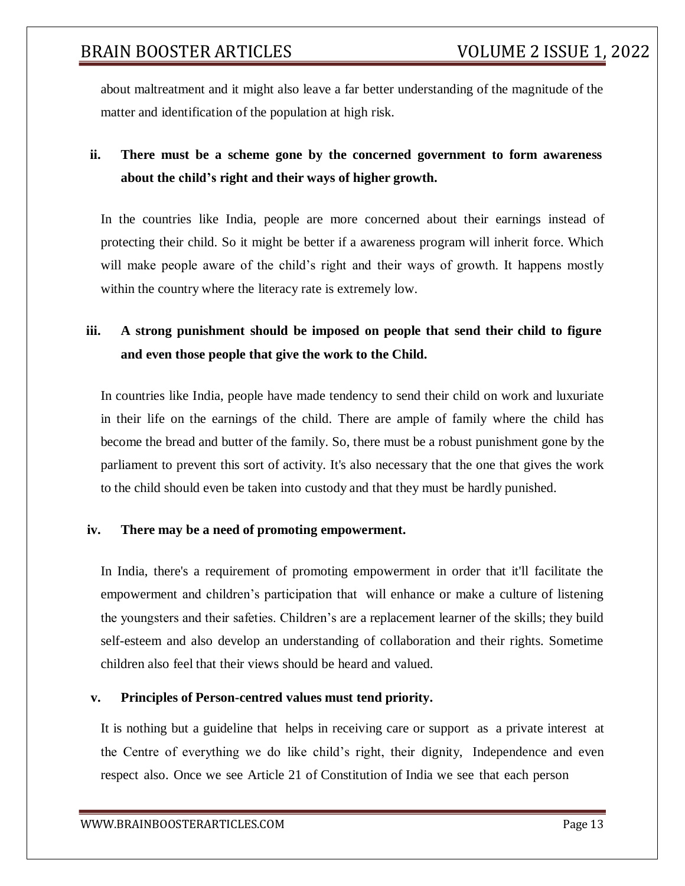about maltreatment and it might also leave a far better understanding of the magnitude of the matter and identification of the population at high risk.

# **ii. There must be a scheme gone by the concerned government to form awareness about the child's right and their ways of higher growth.**

In the countries like India, people are more concerned about their earnings instead of protecting their child. So it might be better if a awareness program will inherit force. Which will make people aware of the child's right and their ways of growth. It happens mostly within the country where the literacy rate is extremely low.

## **iii. A strong punishment should be imposed on people that send their child to figure and even those people that give the work to the Child.**

In countries like India, people have made tendency to send their child on work and luxuriate in their life on the earnings of the child. There are ample of family where the child has become the bread and butter of the family. So, there must be a robust punishment gone by the parliament to prevent this sort of activity. It's also necessary that the one that gives the work to the child should even be taken into custody and that they must be hardly punished.

## **iv. There may be a need of promoting empowerment.**

In India, there's a requirement of promoting empowerment in order that it'll facilitate the empowerment and children's participation that will enhance or make a culture of listening the youngsters and their safeties. Children's are a replacement learner of the skills; they build self-esteem and also develop an understanding of collaboration and their rights. Sometime children also feel that their views should be heard and valued.

## **v. Principles of Person-centred values must tend priority.**

It is nothing but a guideline that helps in receiving care or support as a private interest at the Centre of everything we do like child's right, their dignity, Independence and even respect also. Once we see Article 21 of Constitution of India we see that each person